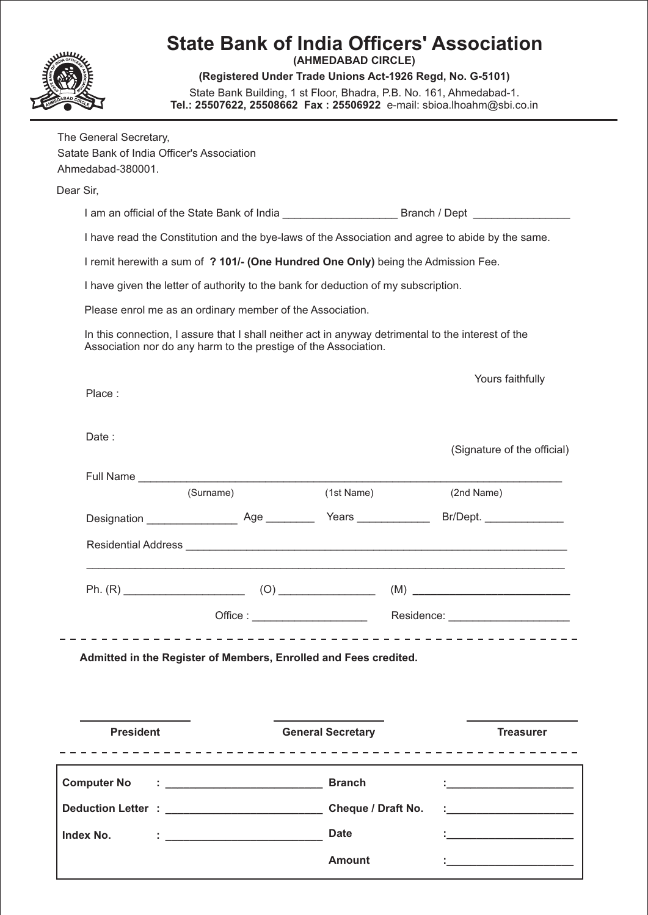|                                                                                           | Tel.: 25507622, 25508662 Fax: 25506922 e-mail: sbioa.lhoahm@sbi.co.in                                                                                                 | (AHMEDABAD CIRCLE)<br>(Registered Under Trade Unions Act-1926 Regd, No. G-5101)<br>State Bank Building, 1 st Floor, Bhadra, P.B. No. 161, Ahmedabad-1. | <b>State Bank of India Officers' Association</b>                                                                    |
|-------------------------------------------------------------------------------------------|-----------------------------------------------------------------------------------------------------------------------------------------------------------------------|--------------------------------------------------------------------------------------------------------------------------------------------------------|---------------------------------------------------------------------------------------------------------------------|
| The General Secretary,<br>Satate Bank of India Officer's Association<br>Ahmedabad-380001. |                                                                                                                                                                       |                                                                                                                                                        |                                                                                                                     |
| Dear Sir,                                                                                 |                                                                                                                                                                       |                                                                                                                                                        |                                                                                                                     |
|                                                                                           |                                                                                                                                                                       |                                                                                                                                                        |                                                                                                                     |
|                                                                                           |                                                                                                                                                                       |                                                                                                                                                        | I have read the Constitution and the bye-laws of the Association and agree to abide by the same.                    |
|                                                                                           | I remit herewith a sum of ? 101/- (One Hundred One Only) being the Admission Fee.                                                                                     |                                                                                                                                                        |                                                                                                                     |
|                                                                                           | I have given the letter of authority to the bank for deduction of my subscription.                                                                                    |                                                                                                                                                        |                                                                                                                     |
|                                                                                           | Please enrol me as an ordinary member of the Association.                                                                                                             |                                                                                                                                                        |                                                                                                                     |
|                                                                                           | In this connection, I assure that I shall neither act in anyway detrimental to the interest of the<br>Association nor do any harm to the prestige of the Association. |                                                                                                                                                        |                                                                                                                     |
| Place:                                                                                    |                                                                                                                                                                       |                                                                                                                                                        | Yours faithfully                                                                                                    |
| Date:                                                                                     |                                                                                                                                                                       |                                                                                                                                                        | (Signature of the official)                                                                                         |
| Full Name                                                                                 |                                                                                                                                                                       |                                                                                                                                                        |                                                                                                                     |
|                                                                                           | (Surname)                                                                                                                                                             | (1st Name)                                                                                                                                             | (2nd Name)                                                                                                          |
|                                                                                           |                                                                                                                                                                       |                                                                                                                                                        |                                                                                                                     |
|                                                                                           |                                                                                                                                                                       |                                                                                                                                                        |                                                                                                                     |
|                                                                                           |                                                                                                                                                                       |                                                                                                                                                        |                                                                                                                     |
|                                                                                           |                                                                                                                                                                       |                                                                                                                                                        |                                                                                                                     |
|                                                                                           | Admitted in the Register of Members, Enrolled and Fees credited.                                                                                                      |                                                                                                                                                        |                                                                                                                     |
| <b>President</b>                                                                          |                                                                                                                                                                       | <b>General Secretary</b>                                                                                                                               | <b>Treasurer</b>                                                                                                    |
| <b>Computer No</b>                                                                        |                                                                                                                                                                       |                                                                                                                                                        | <u> 1980 - Andrea Andrew Maria Barbara, poet</u>                                                                    |
|                                                                                           |                                                                                                                                                                       |                                                                                                                                                        | <u> 1980 - Jan James James Barbara, pre</u>                                                                         |
| Index No.                                                                                 | <u> 1986 - Jan Barbarat, mars and de la propinsie de la propinsie de la propinsie de la propinsie de la propinsi</u>                                                  | <b>Date</b>                                                                                                                                            | <u> 1980 - Jan Barnett, fransk kongresu og den forske politiker og den forske politiker og den forske politiker</u> |
|                                                                                           |                                                                                                                                                                       |                                                                                                                                                        |                                                                                                                     |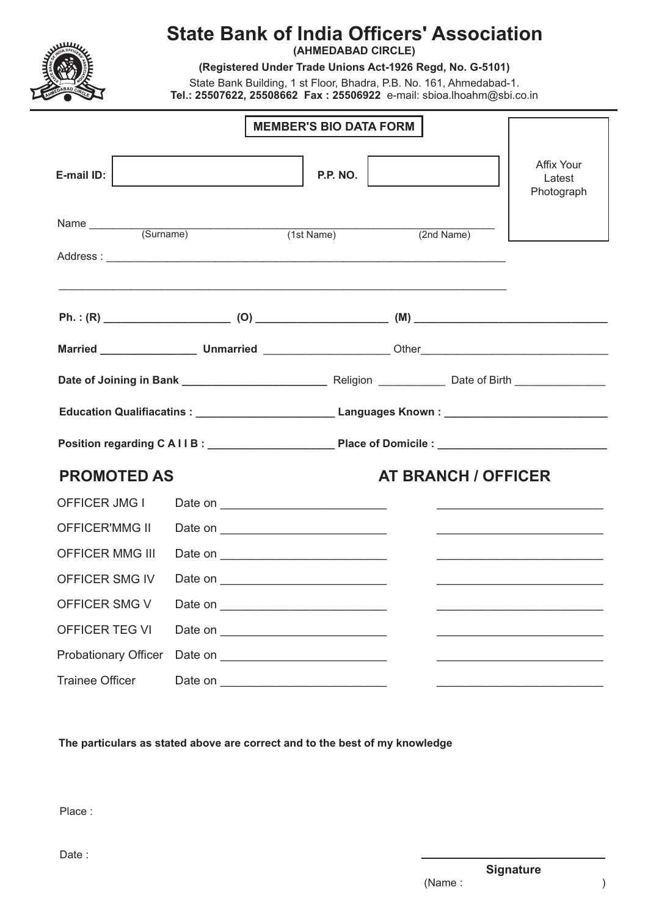

## **State Bank of India Officers' Association**

**(AHMEDABAD CIRCLE)**

**(Registered Under Trade Unions Act-1926 Regd, No. G-5101)**

State Bank Building, 1 st Floor, Bhadra, P.B. No. 161, Ahmedabad-1. **Tel.: 25507622, 25508662 Fax : 25506922** e-mail: sbioa.lhoahm@sbi.co.in

|                                      | <b>MEMBER'S BIO DATA FORM</b> |                                                                                                                    |                                                                                                                        |
|--------------------------------------|-------------------------------|--------------------------------------------------------------------------------------------------------------------|------------------------------------------------------------------------------------------------------------------------|
| E-mail ID:                           | <b>P.P. NO.</b>               |                                                                                                                    | <b>Affix Your</b><br>Latest<br>Photograph                                                                              |
| Name (Surname) (1st Name) (1st Name) |                               | (2nd Name)                                                                                                         |                                                                                                                        |
|                                      |                               |                                                                                                                    |                                                                                                                        |
|                                      |                               | <u> 1999 - Jan James James James James James James James James James James James James James James James James</u> |                                                                                                                        |
|                                      |                               |                                                                                                                    |                                                                                                                        |
|                                      |                               |                                                                                                                    |                                                                                                                        |
|                                      |                               |                                                                                                                    |                                                                                                                        |
|                                      |                               | Education Qualifiacatins : _________________________________Languages Known : _______________________________      |                                                                                                                        |
|                                      |                               |                                                                                                                    |                                                                                                                        |
| <b>PROMOTED AS</b>                   |                               | <b>AT BRANCH / OFFICER</b>                                                                                         |                                                                                                                        |
| OFFICER JMG I                        |                               |                                                                                                                    | <u> 2002 - John Stein, Amerikaansk politiker (d. 1888)</u>                                                             |
| <b>OFFICER'MMG II</b>                |                               |                                                                                                                    | <u> 2000 - Jan James James Jan James James James James James James James James James James James James James James</u> |
| <b>OFFICER MMG III</b>               |                               |                                                                                                                    | <u> 1989 - Johann John Stone, mars et al. (</u>                                                                        |
| OFFICER SMG IV                       |                               |                                                                                                                    |                                                                                                                        |
|                                      |                               |                                                                                                                    |                                                                                                                        |
| OFFICER TEG VI                       |                               |                                                                                                                    |                                                                                                                        |
| <b>Probationary Officer</b>          |                               |                                                                                                                    | <u> 1989 - Johann John Stone, meilich aus der Stone († 1989)</u>                                                       |
| <b>Trainee Officer</b>               |                               |                                                                                                                    |                                                                                                                        |

**The particulars as stated above are correct and to the best of my knowledge**

Place :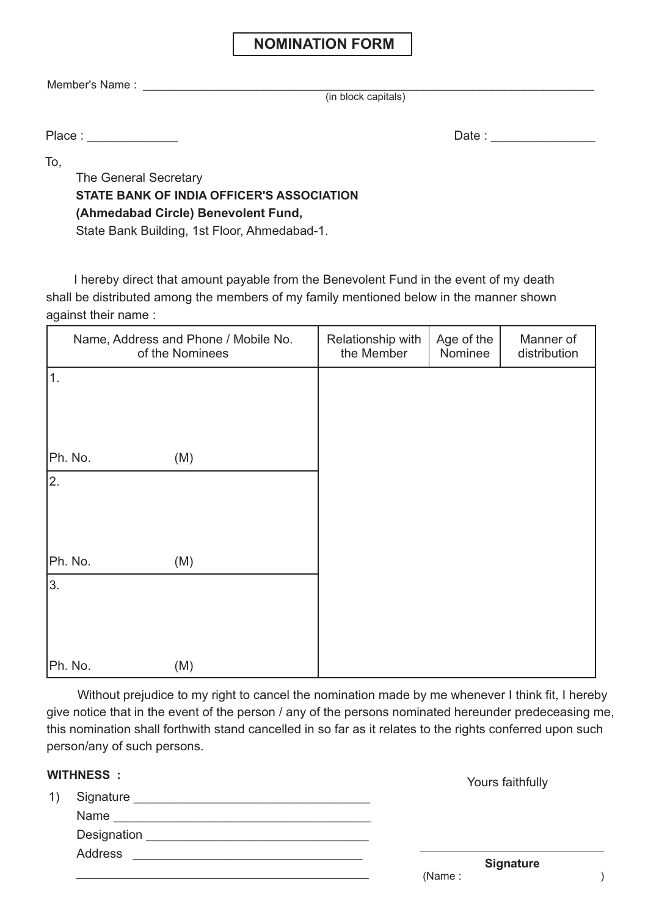### **NOMINATION FORM**

Member's Name : \_\_\_\_\_\_\_\_\_\_\_\_\_\_\_\_\_\_\_\_\_\_\_\_\_\_\_\_\_\_\_\_\_\_\_\_\_\_\_\_\_\_\_\_\_\_\_\_\_\_\_\_\_\_\_\_\_\_\_\_\_\_\_\_\_\_\_\_\_\_\_

(in block capitals)

Place : \_\_\_\_\_\_\_\_\_\_\_\_\_ Date : \_\_\_\_\_\_\_\_\_\_\_\_\_\_\_

To,

The General Secretary **STATE BANK OF INDIA OFFICER'S ASSOCIATION (Ahmedabad Circle) Benevolent Fund,** State Bank Building, 1st Floor, Ahmedabad-1.

 I hereby direct that amount payable from the Benevolent Fund in the event of my death shall be distributed among the members of my family mentioned below in the manner shown against their name :

| Name, Address and Phone / Mobile No.<br>of the Nominees | Relationship with<br>the Member | Age of the<br>Nominee | Manner of<br>distribution |
|---------------------------------------------------------|---------------------------------|-----------------------|---------------------------|
| 1.                                                      |                                 |                       |                           |
|                                                         |                                 |                       |                           |
| Ph. No.<br>(M)                                          |                                 |                       |                           |
| 2.                                                      |                                 |                       |                           |
|                                                         |                                 |                       |                           |
| Ph. No.<br>(M)                                          |                                 |                       |                           |
| 3.                                                      |                                 |                       |                           |
|                                                         |                                 |                       |                           |
| Ph. No.<br>(M)                                          |                                 |                       |                           |

Without prejudice to my right to cancel the nomination made by me whenever I think fit, I hereby give notice that in the event of the person / any of the persons nominated hereunder predeceasing me, this nomination shall forthwith stand cancelled in so far as it relates to the rights conferred upon such person/any of such persons.

#### **WITHNESS :**

|    | .                                                                                                                                 | Yours faithfully           |
|----|-----------------------------------------------------------------------------------------------------------------------------------|----------------------------|
| 1) | Signature<br><u> 1980 - Jan Samuel Barbara, margaret e populari e programa de la programa de la programa de la programa de la</u> |                            |
|    | Name                                                                                                                              |                            |
|    | Designation                                                                                                                       |                            |
|    | Address                                                                                                                           |                            |
|    |                                                                                                                                   | <b>Signature</b><br>(Name: |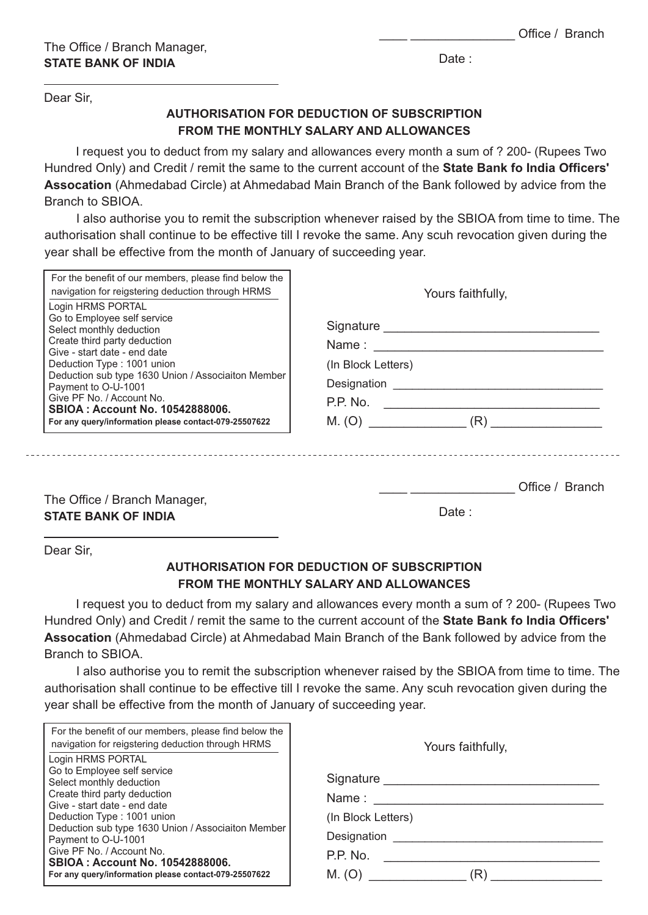Date:

Dear Sir,

#### **AUTHORISATION FOR DEDUCTION OF SUBSCRIPTION FROM THE MONTHLY SALARY AND ALLOWANCES**

I request you to deduct from my salary and allowances every month a sum of ? 200- (Rupees Two Hundred Only) and Credit / remit the same to the current account of the **State Bank fo India Officers' Assocation** (Ahmedabad Circle) at Ahmedabad Main Branch of the Bank followed by advice from the Branch to SBIOA.

I also authorise you to remit the subscription whenever raised by the SBIOA from time to time. The authorisation shall continue to be effective till I revoke the same. Any scuh revocation given during the year shall be effective from the month of January of succeeding year.

| For the benefit of our members, please find below the<br>navigation for reigstering deduction through HRMS<br>Login HRMS PORTAL                                                                                                                                                                                                                                    | Yours faithfully,                                       |  |  |
|--------------------------------------------------------------------------------------------------------------------------------------------------------------------------------------------------------------------------------------------------------------------------------------------------------------------------------------------------------------------|---------------------------------------------------------|--|--|
| Go to Employee self service<br>Select monthly deduction<br>Create third party deduction<br>Give - start date - end date<br>Deduction Type: 1001 union<br>Deduction sub type 1630 Union / Associaiton Member<br>Payment to O-U-1001<br>Give PF No. / Account No.<br><b>SBIOA: Account No. 10542888006.</b><br>For any query/information please contact-079-25507622 | (In Block Letters)<br>Designation<br>P.P. No.<br>M. (O) |  |  |
| The Office / Dropob Monograph                                                                                                                                                                                                                                                                                                                                      | Office / Branch                                         |  |  |

The Office / Branch Manager, **STATE BANK OF INDIA**

Date :

Dear Sir,

#### **AUTHORISATION FOR DEDUCTION OF SUBSCRIPTION FROM THE MONTHLY SALARY AND ALLOWANCES**

I request you to deduct from my salary and allowances every month a sum of ? 200- (Rupees Two Hundred Only) and Credit / remit the same to the current account of the **State Bank fo India Officers' Assocation** (Ahmedabad Circle) at Ahmedabad Main Branch of the Bank followed by advice from the Branch to SBIOA.

I also authorise you to remit the subscription whenever raised by the SBIOA from time to time. The authorisation shall continue to be effective till I revoke the same. Any scuh revocation given during the year shall be effective from the month of January of succeeding year.

| For the benefit of our members, please find below the<br>navigation for reigstering deduction through HRMS                                                                                                                       | Yours faithfully,                                       |  |
|----------------------------------------------------------------------------------------------------------------------------------------------------------------------------------------------------------------------------------|---------------------------------------------------------|--|
| Login HRMS PORTAL<br>Go to Employee self service<br>Select monthly deduction<br>Create third party deduction<br>Give - start date - end date<br>Deduction Type: 1001 union<br>Deduction sub type 1630 Union / Associaiton Member | Signature<br>Name:<br>(In Block Letters)<br>Designation |  |
| Payment to O-U-1001<br>Give PF No. / Account No.<br><b>SBIOA: Account No. 10542888006.</b><br>For any query/information please contact-079-25507622                                                                              | P.P. No.<br>M. (O)<br>R)                                |  |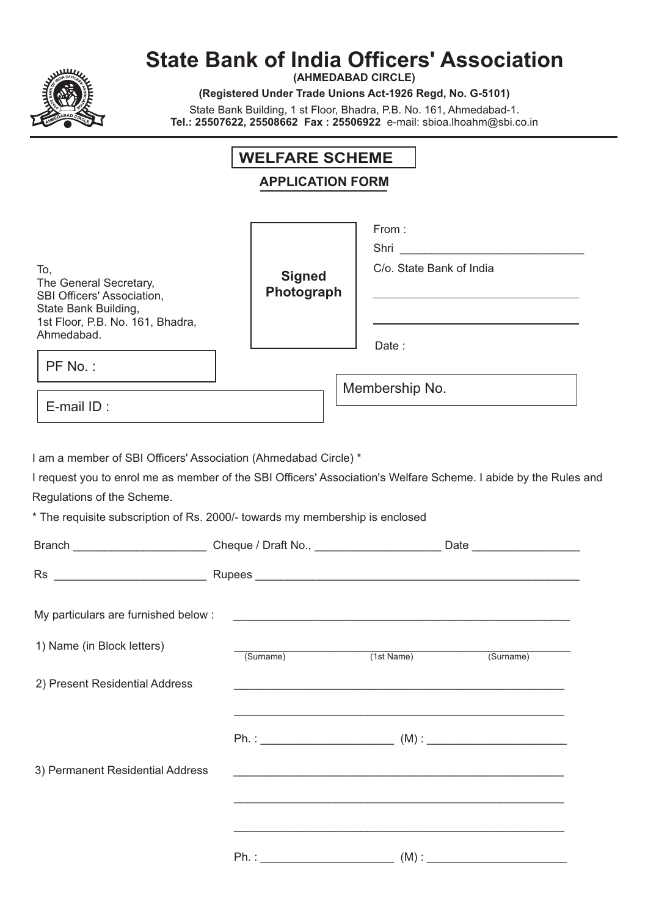

# **State Bank of India Officers' Association**

**(AHMEDABAD CIRCLE)**

**(Registered Under Trade Unions Act-1926 Regd, No. G-5101)**

State Bank Building, 1 st Floor, Bhadra, P.B. No. 161, Ahmedabad-1. **Tel.: 25507622, 25508662 Fax : 25506922** e-mail: sbioa.lhoahm@sbi.co.in

## **WELFARE SCHEME APPLICATION FORM**

|                                                                                                                                                                                                                                                                                                                                             | LIVAHVILI VIN               |                                                             |                                                                                                                                                                                                            |
|---------------------------------------------------------------------------------------------------------------------------------------------------------------------------------------------------------------------------------------------------------------------------------------------------------------------------------------------|-----------------------------|-------------------------------------------------------------|------------------------------------------------------------------------------------------------------------------------------------------------------------------------------------------------------------|
| To,<br>The General Secretary,<br>SBI Officers' Association,<br>State Bank Building,<br>1st Floor, P.B. No. 161, Bhadra,<br>Ahmedabad.<br>PF No.:                                                                                                                                                                                            | <b>Signed</b><br>Photograph | From:<br>C/o. State Bank of India<br>Date:                  | Shri<br><u> 1989 - Johann Stein, marwolaethau a bhann an t-Amhain an t-Amhain an t-Amhain an t-Amhain an t-Amhain an t-A</u><br>the control of the control of the control of the control of the control of |
| E-mail ID:                                                                                                                                                                                                                                                                                                                                  |                             | Membership No.                                              |                                                                                                                                                                                                            |
| I request you to enrol me as member of the SBI Officers' Association's Welfare Scheme. I abide by the Rules and<br>Regulations of the Scheme.<br>* The requisite subscription of Rs. 2000/- towards my membership is enclosed<br>Branch _______________________________Cheque / Draft No., _______________________Date ____________________ |                             |                                                             |                                                                                                                                                                                                            |
|                                                                                                                                                                                                                                                                                                                                             |                             |                                                             |                                                                                                                                                                                                            |
|                                                                                                                                                                                                                                                                                                                                             |                             |                                                             |                                                                                                                                                                                                            |
| My particulars are furnished below :                                                                                                                                                                                                                                                                                                        |                             |                                                             |                                                                                                                                                                                                            |
| 1) Name (in Block letters)                                                                                                                                                                                                                                                                                                                  | (Surname)                   | (1st Name)                                                  | (Surname)                                                                                                                                                                                                  |
| 2) Present Residential Address                                                                                                                                                                                                                                                                                                              |                             |                                                             |                                                                                                                                                                                                            |
|                                                                                                                                                                                                                                                                                                                                             | $Ph. : ____________$        |                                                             |                                                                                                                                                                                                            |
| 3) Permanent Residential Address                                                                                                                                                                                                                                                                                                            |                             | <u> 1989 - Johann Stoff, amerikansk politiker (d. 1989)</u> |                                                                                                                                                                                                            |
|                                                                                                                                                                                                                                                                                                                                             |                             |                                                             |                                                                                                                                                                                                            |
|                                                                                                                                                                                                                                                                                                                                             | $Ph. : ____________$        |                                                             |                                                                                                                                                                                                            |